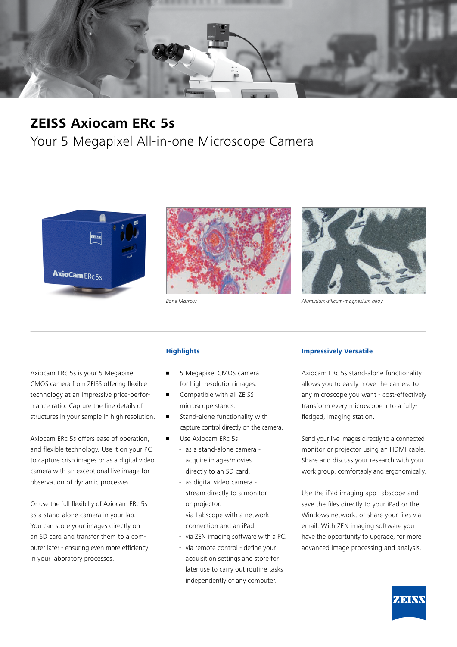

## **ZEISS Axiocam ERc 5s**

Your 5 Megapixel All-in-one Microscope Camera







*Bone Marrow Aluminium-silicum-magnesium alloy*

Axiocam ERc 5s is your 5 Megapixel CMOS camera from ZEISS offering flexible technology at an impressive price-performance ratio. Capture the fine details of structures in your sample in high resolution.

Axiocam ERc 5s offers ease of operation, and flexible technology. Use it on your PC to capture crisp images or as a digital video camera with an exceptional live image for observation of dynamic processes.

Or use the full flexibilty of Axiocam ERc 5s as a stand-alone camera in your lab. You can store your images directly on an SD card and transfer them to a computer later - ensuring even more efficiency in your laboratory processes.

### **Highlights**

- 5 Megapixel CMOS camera for high resolution images.
- Compatible with all ZEISS microscope stands.
- Stand-alone functionality with capture control directly on the camera.
- Use Axiocam ERc 5s:
	- as a stand-alone camera acquire images/movies directly to an SD card.
	- as digital video camera stream directly to a monitor or projector.
	- via Labscope with a network connection and an iPad.
	- via ZEN imaging software with a PC.
	- via remote control define your acquisition settings and store for later use to carry out routine tasks independently of any computer.

#### **Impressively Versatile**

Axiocam ERc 5s stand-alone functionality allows you to easily move the camera to any microscope you want - cost-effectively transform every microscope into a fullyfledged, imaging station.

Send your live images directly to a connected monitor or projector using an HDMI cable. Share and discuss your research with your work group, comfortably and ergonomically.

Use the iPad imaging app Labscope and save the files directly to your iPad or the Windows network, or share your files via email. With ZEN imaging software you have the opportunity to upgrade, for more advanced image processing and analysis.